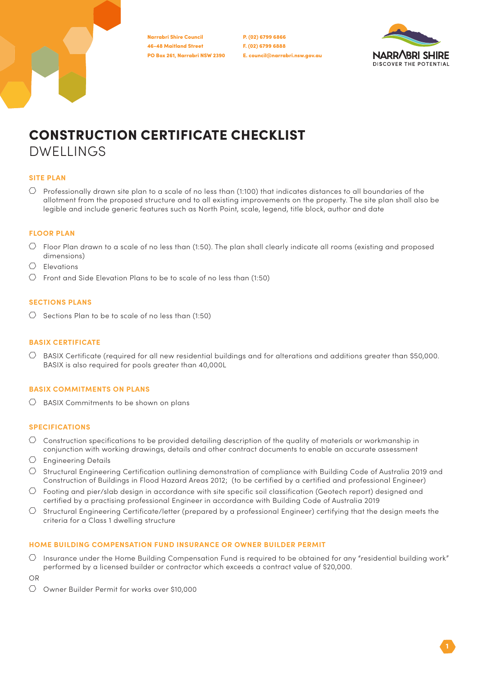46-48 Maitland Street PO Box 261, Narrabri NSW 2390 Narrabri Shire Council

P. (02) 6799 6866 F. (02) 6799 6888 E. council@narrabri.nsw.gov.au



# CONSTRUCTION CERTIFICATE CHECKLIST DWELLINGS

## **SITE PLAN**

 $\heartsuit$  Professionally drawn site plan to a scale of no less than (1:100) that indicates distances to all boundaries of the allotment from the proposed structure and to all existing improvements on the property. The site plan shall also be legible and include generic features such as North Point, scale, legend, title block, author and date

# **FLOOR PLAN**

- $\circlearrowright$  Floor Plan drawn to a scale of no less than (1:50). The plan shall clearly indicate all rooms (existing and proposed dimensions)
- $O$  Elevations
- $\circlearrowright$  Front and Side Elevation Plans to be to scale of no less than (1:50)

# **SECTIONS PLANS**

 $\circlearrowright$  Sections Plan to be to scale of no less than (1:50)

#### **BASIX CERTIFICATE**

 $\circlearrowright$  BASIX Certificate (required for all new residential buildings and for alterations and additions greater than \$50,000. BASIX is also required for pools greater than 40,000L

#### **BASIX COMMITMENTS ON PLANS**

 $\bigcirc$  BASIX Commitments to be shown on plans

# **SPECIFICATIONS**

- $\circlearrowright$  Construction specifications to be provided detailing description of the quality of materials or workmanship in conjunction with working drawings, details and other contract documents to enable an accurate assessment
- $\circlearrowright$  Engineering Details
- $\circlearrowright$  Structural Engineering Certification outlining demonstration of compliance with Building Code of Australia 2019 and Construction of Buildings in Flood Hazard Areas 2012; (to be certified by a certified and professional Engineer)
- $\circlearrowright$  Footing and pier/slab design in accordance with site specific soil classification (Geotech report) designed and certified by a practising professional Engineer in accordance with Building Code of Australia 2019
- $\circlearrowright$  Structural Engineering Certificate/letter (prepared by a professional Engineer) certifying that the design meets the criteria for a Class 1 dwelling structure

## **HOME BUILDING COMPENSATION FUND INSURANCE OR OWNER BUILDER PERMIT**

 $\circlearrowright$  Insurance under the Home Building Compensation Fund is required to be obtained for any "residential building work" performed by a licensed builder or contractor which exceeds a contract value of \$20,000.

OR

Owner Builder Permit for works over \$10,000